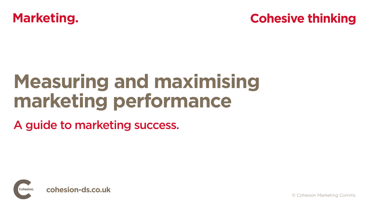© Cohesion Marketing Comms



# **Measuring and maximising marketing performance**

A guide to marketing success.



## **Cohesive thinking**

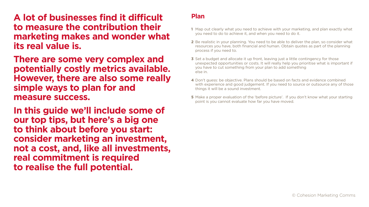© Cohesion Marketing Comms

**A lot of businesses find it difficult to measure the contribution their marketing makes and wonder what its real value is.**

**There are some very complex and potentially costly metrics available. However, there are also some really simple ways to plan for and measure success.** 

**In this guide we'll include some of our top tips, but here's a big one to think about before you start: consider marketing an investment, not a cost, and, like all investments, real commitment is required to realise the full potential.**

### **Plan**

**3** Set a budget and allocate it up front, leaving just a little contingency for those unexpected opportunities or costs. It will really help you prioritise what is important if you have to cut something from your plan to add something

**1** Map out clearly what you need to achieve with your marketing, and plan exactly what you need to do to achieve it, and when you need to do it.

**5** Make a proper evaluation of the 'before picture'. If you don't know what your starting point is you cannot evaluate how far you have moved.

**2** Be realistic in your planning. You need to be able to deliver the plan, so consider what resources you have, both financial and human. Obtain quotes as part of the planning

- 
- process if you need to.
- else in.
- things it will be a sound investment.
- 

**4** Don't guess: be objective. Plans should be based on facts and evidence combined with experience and good judgement. If you need to source or outsource any of those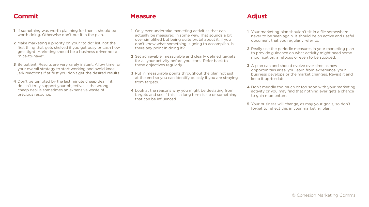- **1** If something was worth planning for then it should be worth doing. Otherwise don't put it in the plan.
- **2** Make marketing a priority on your "to do" list, not the first thing that gets shelved if you get busy or cash flow gets tight. Marketing should be a business driver not a "nice-to-have".
- **3** Be patient. Results are very rarely instant. Allow time for your overall strategy to start working and avoid knee jerk reactions if at first you don't get the desired results.
- **4** Don't be tempted by the last minute cheap deal if it doesn't truly support your objectives – the wrong cheap deal is sometimes an expensive waste of precious resource.

## **Commit Measure**

- **1** Only ever undertake marketing activities that can actually be measured in some way. That sounds a bit over simplified but being quite brutal about it, if you don't know what something is going to accomplish, is there any point in doing it?
- **2** Set achievable, measurable and clearly defined targets for all your activity before you start. Refer back to these objectives regularly.
- **3** Put in measurable points throughout the plan not just at the end so you can identify quickly if you are straying from targets.
- **4** Look at the reasons why you might be deviating from targets and see if this is a long term issue or something that can be influenced.
- **1** Your marketing plan shouldn't sit in a file somewhere never to be seen again. It should be an active and useful document that you regularly refer to.
- **2** Really use the periodic measures in your marketing plan to provide guidance on what activity might need some modification, a refocus or even to be stopped.
- **3** A plan can and should evolve over time as new opportunities arise, you learn from experience, your business develops or the market changes. Revisit it and keep it up-to-date.
- **4** Don't meddle too much or too soon with your marketing activity or you may find that nothing ever gets a chance to gain momentum.
- **5** Your business will change, as may your goals, so don't forget to reflect this in your marketing plan.

## **Adjust**